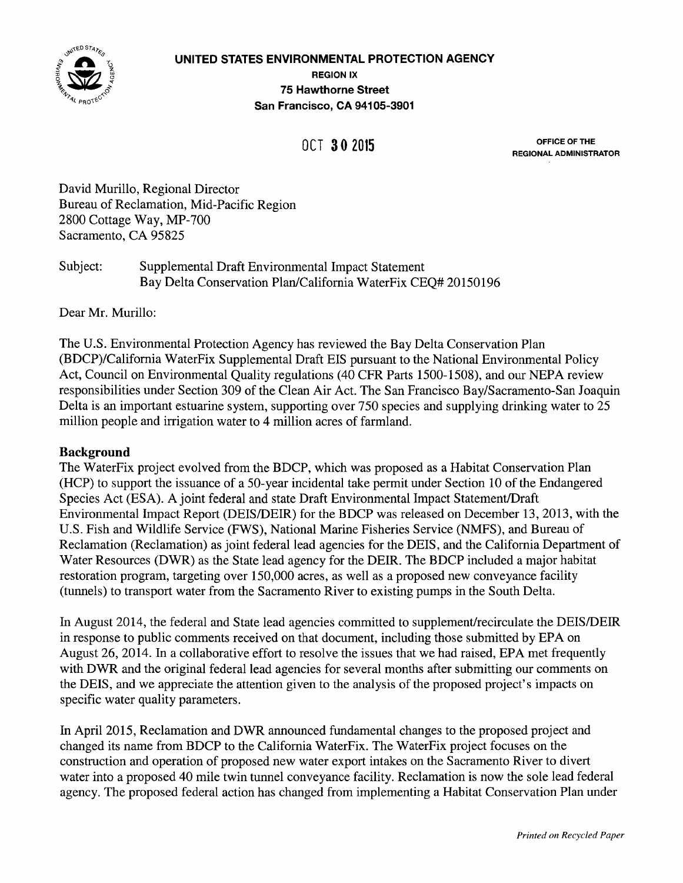

## **UNITED STATES ENVIRONMENTAL PROTECTION AGENCY REGION** IX **75 Hawthorne Street** San Francisco, CA 94105-3901

OFFICE OF **THE** OCT **3 0 <sup>2015</sup>**REGIONAL ADMINISTRATOR

David Murillo, Regional Director Bureau of Reclamation, Mid-Pacific Region 2800 Cottage Way, MP-700 Sacramento, CA 95825

# Subject: Supplemental Draft Environmental Impact Statement Bay Delta Conservation Plan/California WaterFix CEQ# 20150196

Dear Mr. Murillo:

The U.S. Environmental Protection Agency has reviewed the Bay Delta Conservation Plan (BDCP)/California WaterFix Supplemental Draft EIS pursuant to the National Environmental Policy Act, Council on Environmental Quality regulations (40 CFR Parts 1500-1508), and our NEPA review responsibilities under Section 309 of the Clean Air Act. The San Francisco Bay/Sacramento-San Joaquin Delta is an important estuarine system, supporting over 750 species and supplying drinking water to 25 million people and irrigation water to 4 million acres of farmland.

### **Background**

The WaterFix project evolved from the BDCP, which was proposed as a Habitat Conservation Plan (HCP) to support the issuance of a 50-year incidental take permit under Section 10 of the Endangered Species Act (ESA). A joint federal and state Draft Environmental Impact Statement/Draft Environmental Impact Report (DEIS/DEIR) for the BDCP was released on December 13, 2013, with the U.S. Fish and Wildlife Service (FWS), National Marine Fisheries Service (NMFS), and Bureau of Reclamation (Reclamation) as joint federal lead agencies for the DEIS, and the California Department of Water Resources (DWR) as the State lead agency for the DEIR. The BDCP included a major habitat restoration program, targeting over 150,000 acres, as well as a proposed new conveyance facility (tunnels) to transport water from the Sacramento River to existing pumps in the South Delta.

In August 2014, the federal and State lead agencies committed to supplement/recirculate the DEIS/DEIR in response to public comments received on that document, including those submitted by EPA on August 26, 2014. In a collaborative effort to resolve the issues that we had raised, EPA met frequently with DWR and the original federal lead agencies for several months after submitting our comments on the DEIS, and we appreciate the attention given to the analysis of the proposed project's impacts on specific water quality parameters.

In April 2015, Reclamation and DWR announced fundamental changes to the proposed project and changed its name from BDCP to the California WaterFix. The WaterFix project focuses on the construction and operation of proposed new water export intakes on the Sacramento River to divert water into a proposed 40 mile twin tunnel conveyance facility. Reclamation is now the sole lead federal agency. The proposed federal action has changed from implementing a Habitat Conservation Plan under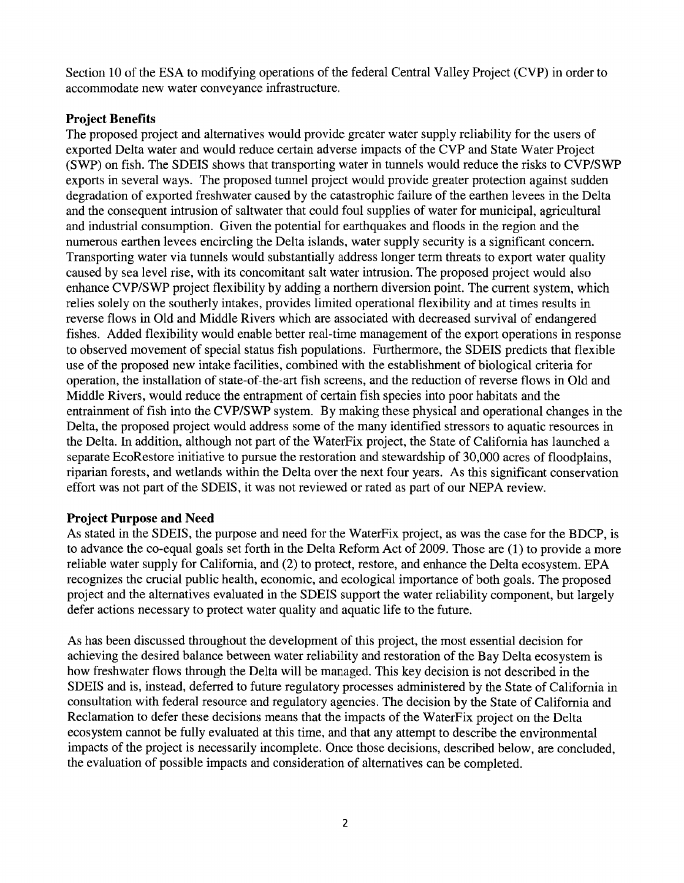Section 10 of the ESA to modifying operations of the federal Central Valley Project (CVP) in order to accommodate new water conveyance infrastructure.

# **Project Benefits**

The proposed project and alternatives would provide greater water supply reliability for the users of exported Delta water and would reduce certain adverse impacts of the CVP and State Water Project (SWP) on fish. The SDEIS shows that transporting water in tunnels would reduce the risks to CVP/SWP exports in several ways. The proposed tunnel project would provide greater protection against sudden degradation of exported freshwater caused by the catastrophic failure of the earthen levees in the Delta and the consequent intrusion of saltwater that could foul supplies of water for municipal, agricultural and industrial consumption. Given the potential for earthquakes and floods in the region and the numerous earthen levees encircling the Delta islands, water supply security is a significant concern. Transporting water via tunnels would substantially address longer term threats to export water quality caused by sea level rise, with its concomitant salt water intrusion. The proposed project would also enhance CVP/SWP project flexibility by adding a northern diversion point. The current system, which relies solely on the southerly intakes, provides limited operational flexibility and at times results in reverse flows in Old and Middle Rivers which are associated with decreased survival of endangered fishes. Added flexibility would enable better real-time management of the export operations in response to observed movement of special status fish populations. Furthermore, the SDEIS predicts that flexible use of the proposed new intake facilities, combined with the establishment of biological criteria for operation, the installation of state-of-the-art fish screens, and the reduction of reverse flows in Old and Middle Rivers, would reduce the entrapment of certain fish species into poor habitats and the entrainment of fish into the CVP/SWP system. By making these physical and operational changes in the Delta, the proposed project would address some of the many identified stressors to aquatic resources in the Delta. In addition, although not part of the WaterFix project, the State of California has launched a separate EcoRestore initiative to pursue the restoration and stewardship of 30,000 acres of floodplains, riparian forests, and wetlands within the Delta over the next four years. As this significant conservation effort was not part of the SDEIS, it was not reviewed or rated as part of our NEPA review.

# **Project Purpose and Need**

As stated in the SDEIS, the purpose and need for the WaterFix project, as was the case for the BDCP, is to advance the co-equal goals set forth in the Delta Reform Act of 2009. Those are (1) to provide a more reliable water supply for California, and (2) to protect, restore, and enhance the Delta ecosystem. EPA recognizes the crucial public health, economic, and ecological importance of both goals. The proposed project and the alternatives evaluated in the SDEIS support the water reliability component, but largely defer actions necessary to protect water quality and aquatic life to the future.

As has been discussed throughout the development of this project, the most essential decision for achieving the desired balance between water reliability and restoration of the Bay Delta ecosystem is how freshwater flows through the Delta will be managed. This key decision is not described in the SDEIS and is, instead, deferred to future regulatory processes administered by the State of California in consultation with federal resource and regulatory agencies. The decision by the State of California and Reclamation to defer these decisions means that the impacts of the WaterFix project on the Delta ecosystem cannot be fully evaluated at this time, and that any attempt to describe the environmental impacts of the project is necessarily incomplete. Once those decisions, described below, are concluded, the evaluation of possible impacts and consideration of alternatives can be completed.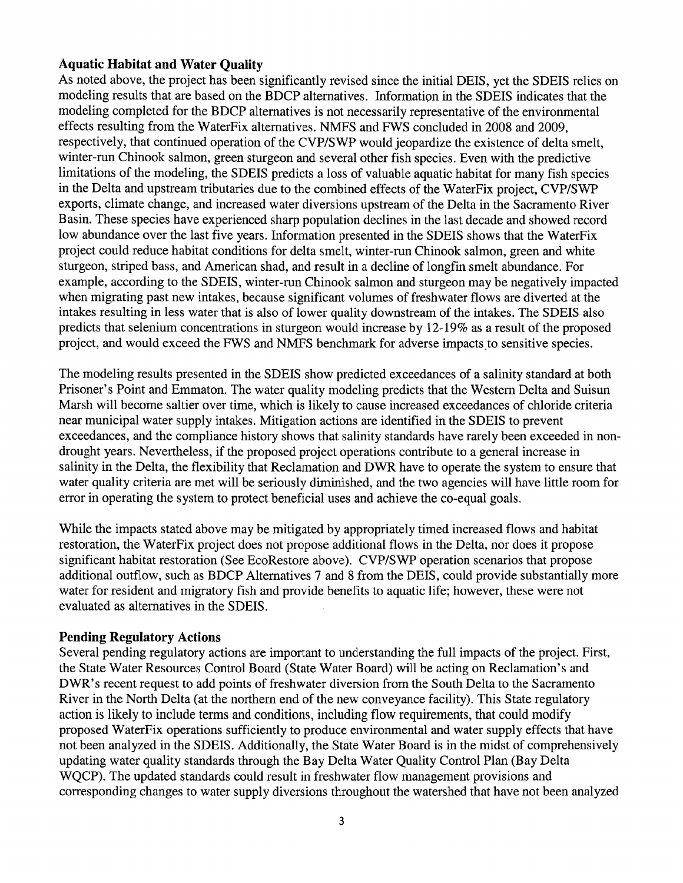# **Aquatic Habitat and Water Quality**

As noted above, the project has been significantly revised since the initial DEIS, yet the SDEIS relies on modeling results that are based on the BDCP alternatives. Information in the SDEIS indicates that the modeling completed for the BDCP alternatives is not necessarily representative of the environmental effects resulting from the WaterFix alternatives. NMFS and FWS concluded in 2008 and 2009, respectively, that continued operation of the CVP/SWP would jeopardize the existence of delta smelt, winter-run Chinook salmon, green sturgeon and several other fish species. Even with the predictive limitations of the modeling, the SDEIS predicts a loss of valuable aquatic habitat for many fish species in the Delta and upstream tributaries due to the combined effects of the WaterFix project, CVP/SWP exports, climate change, and increased water diversions upstream of the Delta in the Sacramento River Basin. These species have experienced sharp population declines in the last decade and showed record low abundance over the last five years. Information presented in the SDEIS shows that the WaterFix project could reduce habitat conditions for delta smelt, winter-run Chinook salmon, green and white sturgeon, striped bass, and American shad, and result in a decline of longfin smelt abundance. For example, according to the SDEIS, winter-run Chinook salmon and sturgeon may be negatively impacted when migrating past new intakes, because significant volumes of freshwater flows are diverted at the intakes resulting in less water that is also of lower quality downstream of the intakes. The SDEIS also predicts that selenium concentrations in sturgeon would increase by 12-19% as a result of the proposed project, and would exceed the FWS and NMFS benchmark for adverse impacts to sensitive species.

The modeling results presented in the SDEIS show predicted exceedances of a salinity standard at both Prisoner's Point and Emmaton. The water quality modeling predicts that the Western Delta and Suisun Marsh will become saltier over time, which is likely to cause increased exceedances of chloride criteria near municipal water supply intakes. Mitigation actions are identified in the SDEIS to prevent exceedances, and the compliance history shows that salinity standards have rarely been exceeded in nondrought years. Nevertheless, if the proposed project operations contribute to a general increase in salinity in the Delta, the flexibility that Reclamation and DWR have to operate the system to ensure that water quality criteria are met will be seriously diminished, and the two agencies will have little room for error in operating the system to protect beneficial uses and achieve the co-equal goals.

While the impacts stated above may be mitigated by appropriately timed increased flows and habitat restoration, the WaterFix project does not propose additional flows in the Delta, nor does it propose significant habitat restoration (See EcoRestore above). CVP/SWP operation scenarios that propose additional outflow, such as BDCP Alternatives 7 and 8 from the DEIS, could provide substantially more water for resident and migratory fish and provide benefits to aquatic life; however, these were not evaluated as alternatives in the SDEIS.

### **Pending Regulatory Actions**

Several pending regulatory actions are important to understanding the full impacts of the project. First, the State Water Resources Control Board (State Water Board) will be acting on Reclamation's and DWR's recent request to add points of freshwater diversion from the South Delta to the Sacramento River in the North Delta (at the northern end of the new conveyance facility). This State regulatory action is likely to include terms and conditions, including flow requirements, that could modify proposed WaterFix operations sufficiently to produce environmental and water supply effects that have not been analyzed in the SDEIS. Additionally, the State Water Board is in the midst of comprehensively updating water quality standards through the Bay Delta Water Quality Control Plan (Bay Delta WQCP). The updated standards could result in freshwater flow management provisions and corresponding changes to water supply diversions throughout the watershed that have not been analyzed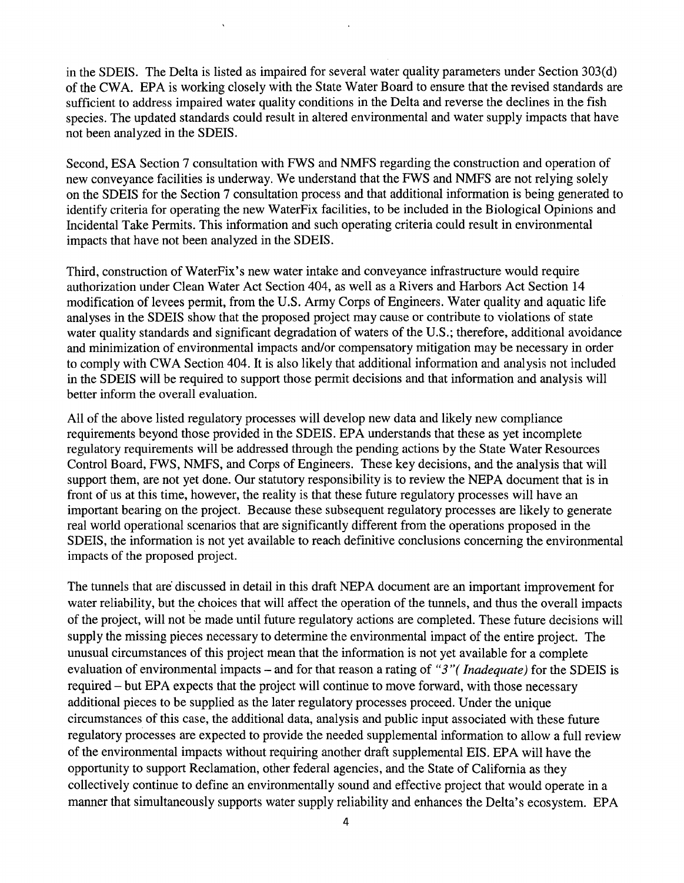in the SDEIS. The Delta is listed as impaired for several water quality parameters under Section 303(d) of the CWA. EPA is working closely with the State Water Board to ensure that the revised standards are sufficient to address impaired water quality conditions in the Delta and reverse the declines in the fish species. The updated standards could result in altered environmental and water supply impacts that have not been analyzed in the SDEIS.

Second, ESA Section 7 consultation with FWS and NMFS regarding the construction and operation of new conveyance facilities is underway. We understand that the FWS and NMFS are not relying solely on the SDEIS for the Section 7 consultation process and that additional information is being generated to identify criteria for operating the new WaterFix facilities, to be included in the Biological Opinions and Incidental Take Permits. This information and such operating criteria could result in environmental impacts that have not been analyzed in the SDEIS.

Third, construction ofWaterFix's new water intake and conveyance infrastructure would require authorization under Clean Water Act Section 404, as well as a Rivers and Harbors Act Section 14 modification of levees permit, from the U.S. Army Corps of Engineers. Water quality and aquatic life analyses in the SDEIS show that the proposed project may cause or contribute to violations of state water quality standards and significant degradation of waters of the U.S.; therefore, additional avoidance and minimization of environmental impacts and/or compensatory mitigation may be necessary in order to comply with CWA Section 404. It is also likely that additional information and analysis not included in the SDEIS will be required to support those permit decisions and that information and analysis will better inform the overall evaluation.

All of the above listed regulatory processes will develop new data and likely new compliance requirements beyond those provided in the SDEIS. EPA understands that these as yet incomplete regulatory requirements will be addressed through the pending actions by the State Water Resources Control Board, FWS, NMFS, and Corps of Engineers. These key decisions, and the analysis that will support them, are not yet done. Our statutory responsibility is to review the NEPA document that is in front of us at this time, however, the reality is that these future regulatory processes will have an important bearing on the project. Because these subsequent regulatory processes are likely to generate real world operational scenarios that are significantly different from the operations proposed in the SDEIS, the information is not yet available to reach definitive conclusions concerning the environmental impacts of the proposed project.

The tunnels that are discussed in detail in this draft NEPA document are an important improvement for water reliability, but the choices that will affect the operation of the tunnels, and thus the overall impacts of the project, will not be made until future regulatory actions are completed. These future decisions will supply the missing pieces necessary to determine the environmental impact of the entire project. The unusual circumstances of this project mean that the information is not yet available for a complete evaluation of environmental impacts- and for that reason a rating of *"3"( Inadequate)* for the SDEIS is required- but EPA expects that the project will continue to move forward, with those necessary additional pieces to be supplied as the later regulatory processes proceed. Under the unique circumstances of this case, the additional data, analysis and public input associated with these future regulatory processes are expected to provide the needed supplemental information to allow a full review of the environmental impacts without requiring another draft supplemental EIS. EPA will have the opportunity to support Reclamation, other federal agencies, and the State of California as they collectively continue to define an environmentally sound and effective project that would operate in a manner that simultaneously supports water supply reliability and enhances the Delta's ecosystem. EPA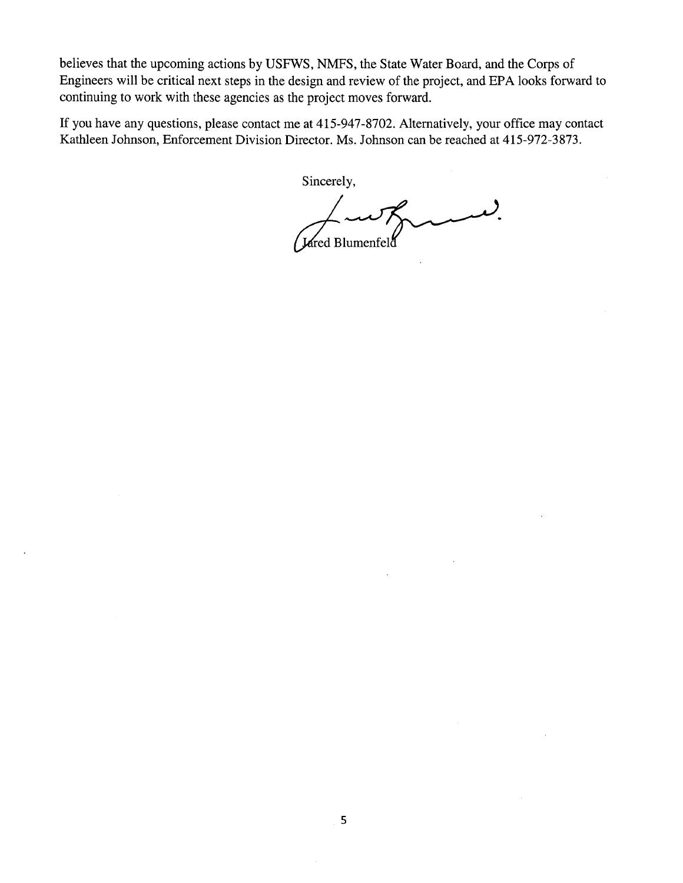believes that the upcoming actions by USFWS, NMFS, the State Water Board, and the Corps of Engineers will be critical next steps in the design and review of the project, and EPA looks forward to continuing to work with these agencies as the project moves forward.

If you have any questions, please contact me at 415-947-8702. Alternatively, your office may contact Kathleen Johnson, Enforcement Division Director. Ms. Johnson can be reached at 415-972-3873.

Sincerely,

Jared Blumenfeld